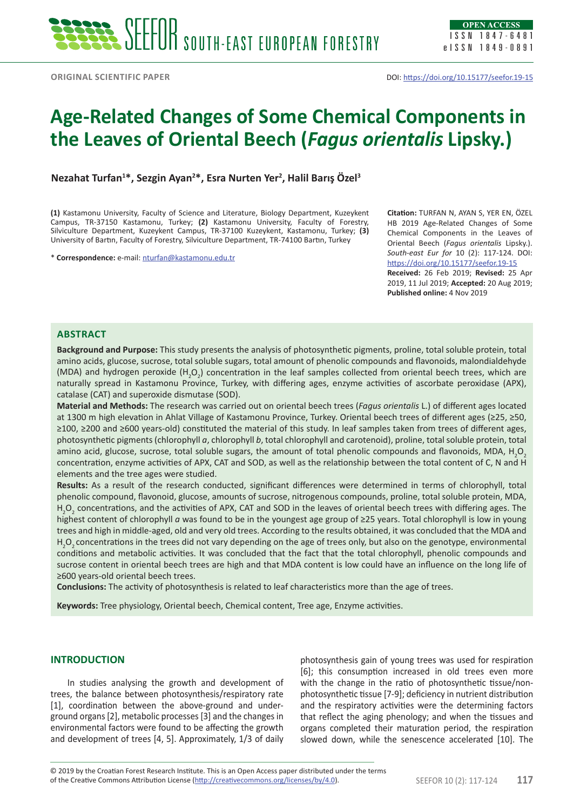# **Age-Related Changes of Some Chemical Components in the Leaves of Oriental Beech (***Fagus orientalis* **Lipsky.)**

**Nezahat Turfan1 \*, Sezgin Ayan2 \*, Esra Nurten Yer2 , Halil Barış Özel<sup>3</sup>**

**(1)** Kastamonu University, Faculty of Science and Literature, Biology Department, Kuzeykent Campus, TR-37150 Kastamonu, Turkey; **(2)** Kastamonu University, Faculty of Forestry, Silviculture Department, Kuzeykent Campus, TR-37100 Kuzeykent, Kastamonu, Turkey; **(3)** University of Bartın, Faculty of Forestry, Silviculture Department, TR-74100 Bartın, Turkey

\* **Correspondence:** e-mail: [nturfan@kastamonu.edu.tr](mailto:nturfan@kastamonu.edu.tr)

**Citation:** TURFAN N, AYAN S, YER EN, ÖZEL HB 2019 Age-Related Changes of Some Chemical Components in the Leaves of Oriental Beech (*Fagus orientalis* Lipsky.). *South-east Eur for* 10 (2): 117-124. DOI: <https://doi.org/10.15177/seefor.19-15> **Received:** 26 Feb 2019; **Revised:** 25 Apr 2019, 11 Jul 2019; **Accepted:** 20 Aug 2019; **Published online:** 4 Nov 2019

## **Abstract**

**Background and Purpose:** This study presents the analysis of photosynthetic pigments, proline, total soluble protein, total amino acids, glucose, sucrose, total soluble sugars, total amount of phenolic compounds and flavonoids, malondialdehyde (MDA) and hydrogen peroxide (H<sub>2</sub>O<sub>2</sub>) concentration in the leaf samples collected from oriental beech trees, which are naturally spread in Kastamonu Province, Turkey, with differing ages, enzyme activities of ascorbate peroxidase (APX), catalase (CAT) and superoxide dismutase (SOD).

**Material and Methods:** The research was carried out on oriental beech trees (*Fagus orientalis* L.) of different ages located at 1300 m high elevation in Ahlat Village of Kastamonu Province, Turkey. Oriental beech trees of different ages (≥25, ≥50, ≥100, ≥200 and ≥600 years-old) constituted the material of this study. In leaf samples taken from trees of different ages, photosynthetic pigments (chlorophyll *a*, chlorophyll *b*, total chlorophyll and carotenoid), proline, total soluble protein, total amino acid, glucose, sucrose, total soluble sugars, the amount of total phenolic compounds and flavonoids, MDA, H<sub>2</sub>O<sub>2</sub> concentration, enzyme activities of APX, CAT and SOD, as well as the relationship between the total content of C, N and H elements and the tree ages were studied.

**Results:** As a result of the research conducted, significant differences were determined in terms of chlorophyll, total phenolic compound, flavonoid, glucose, amounts of sucrose, nitrogenous compounds, proline, total soluble protein, MDA,  $H_2O_2$  concentrations, and the activities of APX, CAT and SOD in the leaves of oriental beech trees with differing ages. The highest content of chlorophyll *a* was found to be in the youngest age group of ≥25 years. Total chlorophyll is low in young trees and high in middle-aged, old and very old trees. According to the results obtained, it was concluded that the MDA and  $H_2O_2$  concentrations in the trees did not vary depending on the age of trees only, but also on the genotype, environmental conditions and metabolic activities. It was concluded that the fact that the total chlorophyll, phenolic compounds and sucrose content in oriental beech trees are high and that MDA content is low could have an influence on the long life of ≥600 years-old oriental beech trees.

**Conclusions:** The activity of photosynthesis is related to leaf characteristics more than the age of trees.

**Keywords:** Tree physiology, Oriental beech, Chemical content, Tree age, Enzyme activities.

## **INTRODUCTION**

In studies analysing the growth and development of trees, the balance between photosynthesis/respiratory rate [1], coordination between the above-ground and underground organs [2], metabolic processes [3] and the changes in environmental factors were found to be affecting the growth and development of trees [4, 5]. Approximately, 1/3 of daily photosynthesis gain of young trees was used for respiration [6]; this consumption increased in old trees even more with the change in the ratio of photosynthetic tissue/nonphotosynthetic tissue [7-9]; deficiency in nutrient distribution and the respiratory activities were the determining factors that reflect the aging phenology; and when the tissues and organs completed their maturation period, the respiration slowed down, while the senescence accelerated [10]. The

of the Creative Commons Attribution License (<http://creativecommons.org/licenses/by/4.0>). SEEFOR 10 (2): 117-124 **117** © 2019 by the Croatian Forest Research Institute. This is an Open Access paper distributed under the terms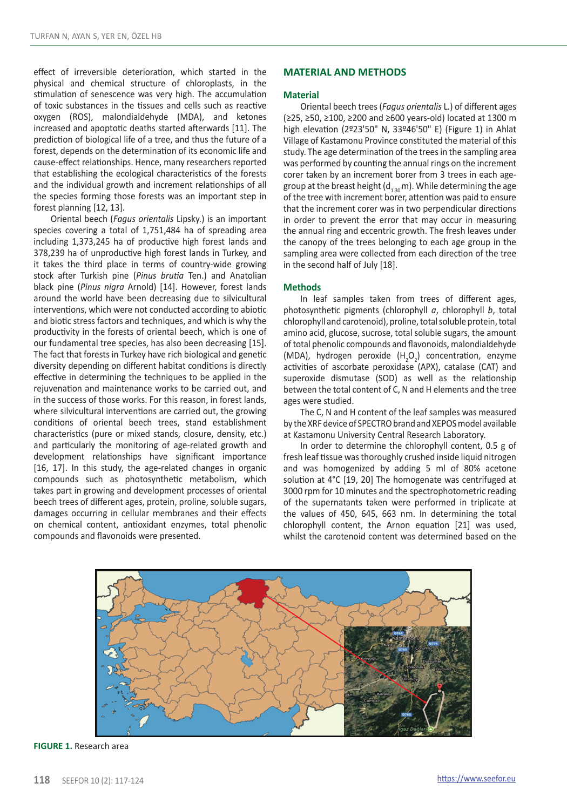effect of irreversible deterioration, which started in the physical and chemical structure of chloroplasts, in the stimulation of senescence was very high. The accumulation of toxic substances in the tissues and cells such as reactive oxygen (ROS), malondialdehyde (MDA), and ketones increased and apoptotic deaths started afterwards [11]. The prediction of biological life of a tree, and thus the future of a forest, depends on the determination of its economic life and cause-effect relationships. Hence, many researchers reported that establishing the ecological characteristics of the forests and the individual growth and increment relationships of all the species forming those forests was an important step in forest planning [12, 13].

Oriental beech (*Fagus orientalis* Lipsky.) is an important species covering a total of 1,751,484 ha of spreading area including 1,373,245 ha of productive high forest lands and 378,239 ha of unproductive high forest lands in Turkey, and it takes the third place in terms of country-wide growing stock after Turkish pine (*Pinus brutia* Ten.) and Anatolian black pine (*Pinus nigra* Arnold) [14]. However, forest lands around the world have been decreasing due to silvicultural interventions, which were not conducted according to abiotic and biotic stress factors and techniques, and which is why the productivity in the forests of oriental beech, which is one of our fundamental tree species, has also been decreasing [15]. The fact that forests in Turkey have rich biological and genetic diversity depending on different habitat conditions is directly effective in determining the techniques to be applied in the rejuvenation and maintenance works to be carried out, and in the success of those works. For this reason, in forest lands, where silvicultural interventions are carried out, the growing conditions of oriental beech trees, stand establishment characteristics (pure or mixed stands, closure, density, etc.) and particularly the monitoring of age-related growth and development relationships have significant importance [16, 17]. In this study, the age-related changes in organic compounds such as photosynthetic metabolism, which takes part in growing and development processes of oriental beech trees of different ages, protein, proline, soluble sugars, damages occurring in cellular membranes and their effects on chemical content, antioxidant enzymes, total phenolic compounds and flavonoids were presented.

## **MATERIAL AND METHODS**

### **Material**

Oriental beech trees (*Fagus orientalis* L.) of different ages (≥25, ≥50, ≥100, ≥200 and ≥600 years-old) located at 1300 m high elevation (2º23'50" N, 33º46'50" E) (Figure 1) in Ahlat Village of Kastamonu Province constituted the material of this study. The age determination of the trees in the sampling area was performed by counting the annual rings on the increment corer taken by an increment borer from 3 trees in each agegroup at the breast height  $(d_{1,20} m)$ . While determining the age of the tree with increment borer, attention was paid to ensure that the increment corer was in two perpendicular directions in order to prevent the error that may occur in measuring the annual ring and eccentric growth. The fresh leaves under the canopy of the trees belonging to each age group in the sampling area were collected from each direction of the tree in the second half of July [18].

### **Methods**

In leaf samples taken from trees of different ages, photosynthetic pigments (chlorophyll *a*, chlorophyll *b*, total chlorophyll and carotenoid), proline, total soluble protein, total amino acid, glucose, sucrose, total soluble sugars, the amount of total phenolic compounds and flavonoids, malondialdehyde (MDA), hydrogen peroxide  $(H_2O_2)$  concentration, enzyme activities of ascorbate peroxidase (APX), catalase (CAT) and superoxide dismutase (SOD) as well as the relationship between the total content of C, N and H elements and the tree ages were studied.

The C, N and H content of the leaf samples was measured by the XRF device of SPECTRO brand and XEPOS model available at Kastamonu University Central Research Laboratory.

In order to determine the chlorophyll content, 0.5 g of fresh leaf tissue was thoroughly crushed inside liquid nitrogen and was homogenized by adding 5 ml of 80% acetone solution at 4°C [19, 20] The homogenate was centrifuged at 3000 rpm for 10 minutes and the spectrophotometric reading of the supernatants taken were performed in triplicate at the values of 450, 645, 663 nm. In determining the total chlorophyll content, the Arnon equation [21] was used, whilst the carotenoid content was determined based on the



**FIGURE 1.** Research area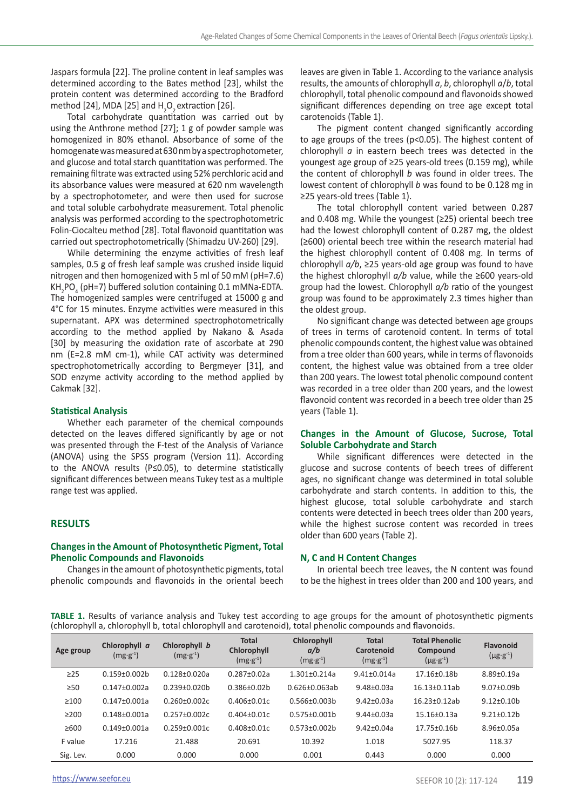Jaspars formula [22]. The proline content in leaf samples was determined according to the Bates method [23], whilst the protein content was determined according to the Bradford method [24], MDA [25] and  $H_2O_2$  extraction [26].

Total carbohydrate quantitation was carried out by using the Anthrone method [27]; 1 g of powder sample was homogenized in 80% ethanol. Absorbance of some of the homogenate was measured at 630 nm by a spectrophotometer, and glucose and total starch quantitation was performed. The remaining filtrate was extracted using 52% perchloric acid and its absorbance values were measured at 620 nm wavelength by a spectrophotometer, and were then used for sucrose and total soluble carbohydrate measurement. Total phenolic analysis was performed according to the spectrophotometric Folin-Ciocalteu method [28]. Total flavonoid quantitation was carried out spectrophotometrically (Shimadzu UV-260) [29].

While determining the enzyme activities of fresh leaf samples, 0.5 g of fresh leaf sample was crushed inside liquid nitrogen and then homogenized with 5 ml of 50 mM (pH=7.6)  $KH_{2}PO_{4}$  (pH=7) buffered solution containing 0.1 mMNa-EDTA. The homogenized samples were centrifuged at 15000 g and 4°C for 15 minutes. Enzyme activities were measured in this supernatant. APX was determined spectrophotometrically according to the method applied by Nakano & Asada [30] by measuring the oxidation rate of ascorbate at 290 nm (E=2.8 mM cm-1), while CAT activity was determined spectrophotometrically according to Bergmeyer [31], and SOD enzyme activity according to the method applied by Cakmak [32].

#### **Statistical Analysis**

Whether each parameter of the chemical compounds detected on the leaves differed significantly by age or not was presented through the F-test of the Analysis of Variance (ANOVA) using the SPSS program (Version 11). According to the ANOVA results (P≤0.05), to determine statistically significant differences between means Tukey test as a multiple range test was applied.

# **RESULTS**

## **Changes in the Amount of Photosynthetic Pigment, Total Phenolic Compounds and Flavonoids**

Changes in the amount of photosynthetic pigments, total phenolic compounds and flavonoids in the oriental beech

leaves are given in Table 1. According to the variance analysis results, the amounts of chlorophyll *a*, *b*, chlorophyll *a*/*b*, total chlorophyll, total phenolic compound and flavonoids showed significant differences depending on tree age except total carotenoids (Table 1).

The pigment content changed significantly according to age groups of the trees (p<0.05). The highest content of chlorophyll *a* in eastern beech trees was detected in the youngest age group of ≥25 years-old trees (0.159 mg), while the content of chlorophyll *b* was found in older trees. The lowest content of chlorophyll *b* was found to be 0.128 mg in ≥25 years-old trees (Table 1).

The total chlorophyll content varied between 0.287 and 0.408 mg. While the youngest (≥25) oriental beech tree had the lowest chlorophyll content of 0.287 mg, the oldest (≥600) oriental beech tree within the research material had the highest chlorophyll content of 0.408 mg. In terms of chlorophyll *a/b*, ≥25 years-old age group was found to have the highest chlorophyll *a/b* value, while the ≥600 years-old group had the lowest. Chlorophyll *a/b* ratio of the youngest group was found to be approximately 2.3 times higher than the oldest group.

No significant change was detected between age groups of trees in terms of carotenoid content. In terms of total phenolic compounds content, the highest value was obtained from a tree older than 600 years, while in terms of flavonoids content, the highest value was obtained from a tree older than 200 years. The lowest total phenolic compound content was recorded in a tree older than 200 years, and the lowest flavonoid content was recorded in a beech tree older than 25 years (Table 1).

# **Changes in the Amount of Glucose, Sucrose, Total Soluble Carbohydrate and Starch**

While significant differences were detected in the glucose and sucrose contents of beech trees of different ages, no significant change was determined in total soluble carbohydrate and starch contents. In addition to this, the highest glucose, total soluble carbohydrate and starch contents were detected in beech trees older than 200 years, while the highest sucrose content was recorded in trees older than 600 years (Table 2).

#### **N, C and H Content Changes**

In oriental beech tree leaves, the N content was found to be the highest in trees older than 200 and 100 years, and

**TABLE 1.** Results of variance analysis and Tukey test according to age groups for the amount of photosynthetic pigments (chlorophyll a, chlorophyll b, total chlorophyll and carotenoid), total phenolic compounds and flavonoids.

| Age group  | Chlorophyll a<br>$(mg·g-1)$ | Chlorophyll b<br>$(mg·g-1)$ | <b>Total</b><br>Chlorophyll<br>$(mg·g-1)$ | Chlorophyll<br>a/b<br>$(mg·g-1)$ | <b>Total</b><br>Carotenoid<br>$(mg·g-1)$ | <b>Total Phenolic</b><br>Compound<br>$(\mu g \cdot g^{-1})$ | Flavonoid<br>$(\mu g \cdot g^{-1})$ |
|------------|-----------------------------|-----------------------------|-------------------------------------------|----------------------------------|------------------------------------------|-------------------------------------------------------------|-------------------------------------|
| $\geq$ 25  | $0.159 + 0.002h$            | $0.128 + 0.020a$            | $0.287 + 0.02a$                           | $1.301 + 0.214a$                 | $9.41 + 0.014a$                          | 17.16+0.18b                                                 | $8.89 + 0.19a$                      |
| $\geq 50$  | $0.147 + 0.002a$            | $0.239 + 0.020h$            | $0.386 + 0.02h$                           | $0.626 + 0.063ab$                | $9.48 + 0.03a$                           | $16.13 + 0.11ab$                                            | $9.07 + 0.09$                       |
| $\geq 100$ | $0.147 + 0.001a$            | $0.260 + 0.002c$            | $0.406 + 0.01c$                           | $0.566 + 0.003h$                 | $9.42 + 0.03a$                           | $16.23 + 0.12ab$                                            | $9.12+0.10b$                        |
| $\geq$ 200 | $0.148 + 0.001a$            | $0.257 + 0.002c$            | $0.404 + 0.01c$                           | $0.575 + 0.001$                  | $9.44 + 0.03a$                           | $15.16 + 0.13a$                                             | $9.21 + 0.12h$                      |
| >600       | $0.149 + 0.001a$            | $0.259 + 0.001c$            | $0.408 + 0.01c$                           | $0.573 + 0.002h$                 | $9.42 + 0.04a$                           | $17.75 + 0.16h$                                             | $8.96 \pm 0.05a$                    |
| F value    | 17.216                      | 21.488                      | 20.691                                    | 10.392                           | 1.018                                    | 5027.95                                                     | 118.37                              |
| Sig. Lev.  | 0.000                       | 0.000                       | 0.000                                     | 0.001                            | 0.443                                    | 0.000                                                       | 0.000                               |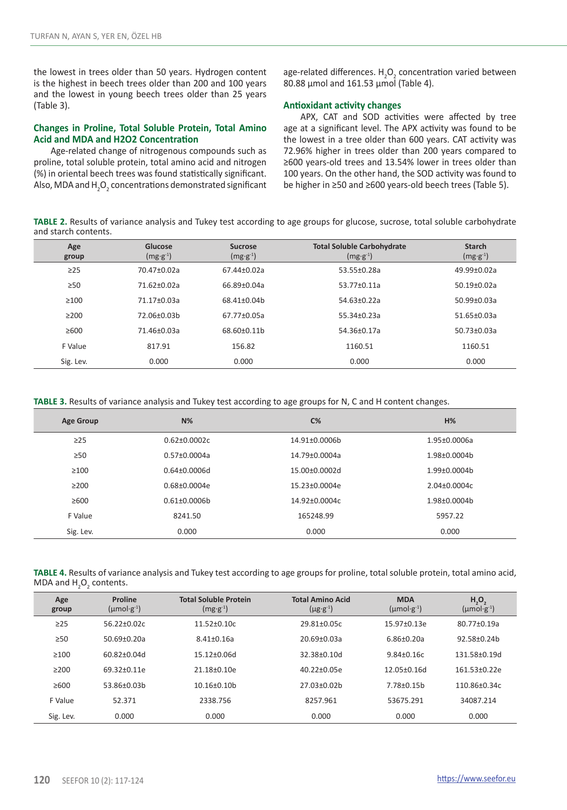the lowest in trees older than 50 years. Hydrogen content is the highest in beech trees older than 200 and 100 years and the lowest in young beech trees older than 25 years (Table 3).

# **Changes in Proline, Total Soluble Protein, Total Amino Acid and MDA and H2O2 Concentration**

Age-related change of nitrogenous compounds such as proline, total soluble protein, total amino acid and nitrogen (%) in oriental beech trees was found statistically significant. Also, MDA and  $\text{H}_{\text{2}}\text{O}_{\text{2}}$  concentrations demonstrated significant

age-related differences.  $H_2O_2$  concentration varied between 80.88 µmol and 161.53 µmol (Table 4).

# **Antioxidant activity changes**

APX, CAT and SOD activities were affected by tree age at a significant level. The APX activity was found to be the lowest in a tree older than 600 years. CAT activity was 72.96% higher in trees older than 200 years compared to ≥600 years-old trees and 13.54% lower in trees older than 100 years. On the other hand, the SOD activity was found to be higher in ≥50 and ≥600 years-old beech trees (Table 5).

**TABLE 2.** Results of variance analysis and Tukey test according to age groups for glucose, sucrose, total soluble carbohydrate and starch contents.

| Age<br>group | Glucose<br>$(mg·g-1)$ | <b>Sucrose</b><br>$(mg·g-1)$ | <b>Total Soluble Carbohydrate</b><br>$(mg·g-1)$ | <b>Starch</b><br>$(mg·g-1)$ |
|--------------|-----------------------|------------------------------|-------------------------------------------------|-----------------------------|
| $\geq$ 25    | $70.47 + 0.02a$       | $67.44 + 0.02a$              | $53.55+0.28a$                                   | $49.99 + 0.02a$             |
| $\geq 50$    | $71.62 + 0.02a$       | 66.89+0.04a                  | $53.77+0.11a$                                   | $50.19 + 0.02a$             |
| >100         | $71.17 + 0.03a$       | 68.41+0.04b                  | $54.63+0.22a$                                   | $50.99 + 0.03a$             |
| >200         | 72.06+0.03b           | $67.77 \pm 0.05a$            | $55.34 + 0.23a$                                 | $51.65 \pm 0.03a$           |
| >600         | $71.46 \pm 0.03a$     | 68.60+0.11b                  | $54.36 + 0.17a$                                 | $50.73 + 0.03a$             |
| F Value      | 817.91                | 156.82                       | 1160.51                                         | 1160.51                     |
| Sig. Lev.    | 0.000                 | 0.000                        | 0.000                                           | 0.000                       |

**TABLE 3.** Results of variance analysis and Tukey test according to age groups for N, C and H content changes.

| <b>Age Group</b> | $N\%$            | $C\%$         | H%               |
|------------------|------------------|---------------|------------------|
| $\geq$ 25        | $0.62 + 0.0002c$ | 14.91±0.0006b | 1.95±0.0006a     |
| >50              | $0.57+0.0004a$   | 14.79+0.0004a | 1.98±0.0004b     |
| >100             | $0.64 + 0.0006d$ | 15.00+0.0002d | $1.99 + 0.0004h$ |
| >200             | $0.68 + 0.0004e$ | 15.23+0.0004e | $2.04 + 0.0004c$ |
| $\geq 600$       | $0.61 + 0.0006h$ | 14.92+0.0004c | 1.98±0.0004b     |
| F Value          | 8241.50          | 165248.99     | 5957.22          |
| Sig. Lev.        | 0.000            | 0.000         | 0.000            |

| TABLE 4. Results of variance analysis and Tukey test according to age groups for proline, total soluble protein, total amino acid, |  |
|------------------------------------------------------------------------------------------------------------------------------------|--|
| MDA and H <sub>2</sub> O <sub>2</sub> contents.                                                                                    |  |

| Age<br>group | Proline<br>$(\mu \text{mol·g}^{-1})$ | <b>Total Soluble Protein</b><br>$(mg·g-1)$ | <b>Total Amino Acid</b><br>$(\mu g \cdot g^{-1})$ | <b>MDA</b><br>$(\mu \text{mol·g}^{-1})$ | H, O,<br>$(\mu \text{mol·g}^{-1})$ |
|--------------|--------------------------------------|--------------------------------------------|---------------------------------------------------|-----------------------------------------|------------------------------------|
| $\geq$ 25    | $56.22 + 0.02c$                      | $11.52 \pm 0.10c$                          | $29.81 + 0.05c$                                   | $15.97 \pm 0.13e$                       | $80.77 + 0.19a$                    |
| $\geq 50$    | $50.69 + 0.20a$                      | $8.41 + 0.16a$                             | $20.69 + 0.03a$                                   | $6.86 + 0.20a$                          | $92.58 + 0.24h$                    |
| ≥100         | $60.82 + 0.04d$                      | $15.12 + 0.06d$                            | $32.38 + 0.10d$                                   | $9.84 + 0.16c$                          | 131.58+0.19d                       |
| >200         | 69.32+0.11e                          | $21.18 + 0.10e$                            | $40.22 + 0.05e$                                   | $12.05 + 0.16d$                         | 161.53+0.22e                       |
| >600         | 53.86+0.03b                          | $10.16 + 0.10h$                            | $27.03 + 0.02h$                                   | $7.78 + 0.15h$                          | 110.86+0.34c                       |
| F Value      | 52.371                               | 2338.756                                   | 8257.961                                          | 53675.291                               | 34087.214                          |
| Sig. Lev.    | 0.000                                | 0.000                                      | 0.000                                             | 0.000                                   | 0.000                              |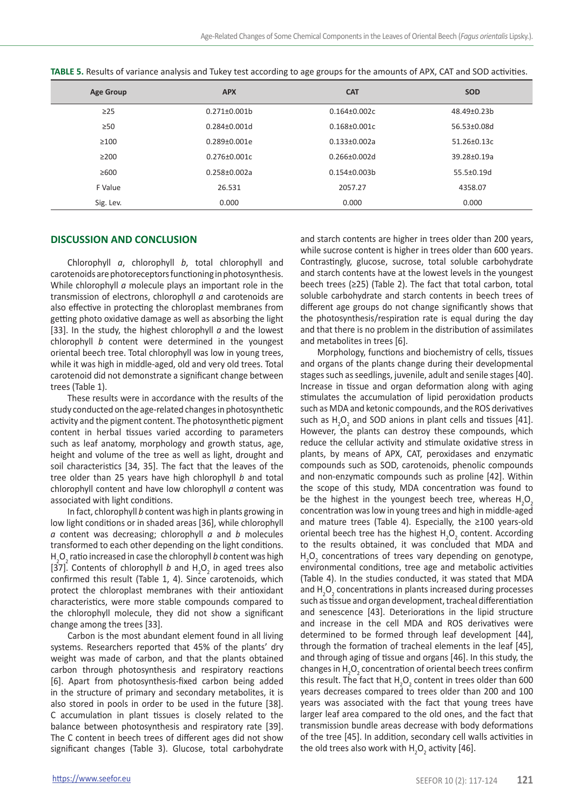| <b>Age Group</b> | <b>APX</b>       | <b>CAT</b>          | <b>SOD</b>      |
|------------------|------------------|---------------------|-----------------|
| $\geq$ 25        | $0.271 + 0.001h$ | $0.164 + 0.002c$    | 48.49+0.23b     |
| $\geq 50$        | 0.284±0.001d     | $0.168 \pm 0.001c$  | 56.53±0.08d     |
| $\geq 100$       | $0.289 + 0.001e$ | $0.133 \pm 0.002a$  | 51.26±0.13c     |
| >200             | $0.276 + 0.001c$ | $0.266 + 0.002d$    | $39.28 + 0.19a$ |
| >600             | $0.258 + 0.002a$ | $0.154 \pm 0.003 b$ | 55.5±0.19d      |
| F Value          | 26.531           | 2057.27             | 4358.07         |
| Sig. Lev.        | 0.000            | 0.000               | 0.000           |

**TABLE 5.** Results of variance analysis and Tukey test according to age groups for the amounts of APX, CAT and SOD activities.

# **DISCUSSION AND CONCLUSION**

Chlorophyll *a*, chlorophyll *b*, total chlorophyll and carotenoids are photoreceptors functioning in photosynthesis. While chlorophyll *a* molecule plays an important role in the transmission of electrons, chlorophyll *a* and carotenoids are also effective in protecting the chloroplast membranes from getting photo oxidative damage as well as absorbing the light [33]. In the study, the highest chlorophyll *a* and the lowest chlorophyll *b* content were determined in the youngest oriental beech tree. Total chlorophyll was low in young trees, while it was high in middle-aged, old and very old trees. Total carotenoid did not demonstrate a significant change between trees (Table 1).

These results were in accordance with the results of the study conducted on the age-related changes in photosynthetic activity and the pigment content. The photosynthetic pigment content in herbal tissues varied according to parameters such as leaf anatomy, morphology and growth status, age, height and volume of the tree as well as light, drought and soil characteristics [34, 35]. The fact that the leaves of the tree older than 25 years have high chlorophyll *b* and total chlorophyll content and have low chlorophyll *a* content was associated with light conditions.

In fact, chlorophyll *b* content was high in plants growing in low light conditions or in shaded areas [36], while chlorophyll *a* content was decreasing; chlorophyll *a* and *b* molecules transformed to each other depending on the light conditions. H<sub>2</sub>O<sub>2</sub> ratio increased in case the chlorophyll *b* content was high [37]. Contents of chlorophyll *b* and  $H_2O_2$  in aged trees also confirmed this result (Table 1, 4). Since carotenoids, which protect the chloroplast membranes with their antioxidant characteristics, were more stable compounds compared to the chlorophyll molecule, they did not show a significant change among the trees [33].

Carbon is the most abundant element found in all living systems. Researchers reported that 45% of the plants' dry weight was made of carbon, and that the plants obtained carbon through photosynthesis and respiratory reactions [6]. Apart from photosynthesis-fixed carbon being added in the structure of primary and secondary metabolites, it is also stored in pools in order to be used in the future [38]. C accumulation in plant tissues is closely related to the balance between photosynthesis and respiratory rate [39]. The C content in beech trees of different ages did not show significant changes (Table 3). Glucose, total carbohydrate

and starch contents are higher in trees older than 200 years, while sucrose content is higher in trees older than 600 years. Contrastingly, glucose, sucrose, total soluble carbohydrate and starch contents have at the lowest levels in the youngest beech trees (≥25) (Table 2). The fact that total carbon, total soluble carbohydrate and starch contents in beech trees of different age groups do not change significantly shows that the photosynthesis/respiration rate is equal during the day and that there is no problem in the distribution of assimilates and metabolites in trees [6].

Morphology, functions and biochemistry of cells, tissues and organs of the plants change during their developmental stages such as seedlings, juvenile, adult and senile stages [40]. Increase in tissue and organ deformation along with aging stimulates the accumulation of lipid peroxidation products such as MDA and ketonic compounds, and the ROS derivatives such as  $H_2O_2$  and SOD anions in plant cells and tissues [41]. However, the plants can destroy these compounds, which reduce the cellular activity and stimulate oxidative stress in plants, by means of APX, CAT, peroxidases and enzymatic compounds such as SOD, carotenoids, phenolic compounds and non-enzymatic compounds such as proline [42]. Within the scope of this study, MDA concentration was found to be the highest in the youngest beech tree, whereas  $H_2O_2$ concentration was low in young trees and high in middle-aged and mature trees (Table 4). Especially, the ≥100 years-old oriental beech tree has the highest  $H_2O_2$  content. According to the results obtained, it was concluded that MDA and  $H<sub>2</sub>O<sub>2</sub>$  concentrations of trees vary depending on genotype, environmental conditions, tree age and metabolic activities (Table 4). In the studies conducted, it was stated that MDA and H<sub>2</sub>O<sub>2</sub> concentrations in plants increased during processes such as tissue and organ development, tracheal differentiation and senescence [43]. Deteriorations in the lipid structure and increase in the cell MDA and ROS derivatives were determined to be formed through leaf development [44], through the formation of tracheal elements in the leaf [45], and through aging of tissue and organs [46]. In this study, the changes in  $H_2O_2$  concentration of oriental beech trees confirm this result. The fact that  $H_2O_2$  content in trees older than 600 years decreases compared to trees older than 200 and 100 years was associated with the fact that young trees have larger leaf area compared to the old ones, and the fact that transmission bundle areas decrease with body deformations of the tree [45]. In addition, secondary cell walls activities in the old trees also work with  $H_2O_2$  activity [46].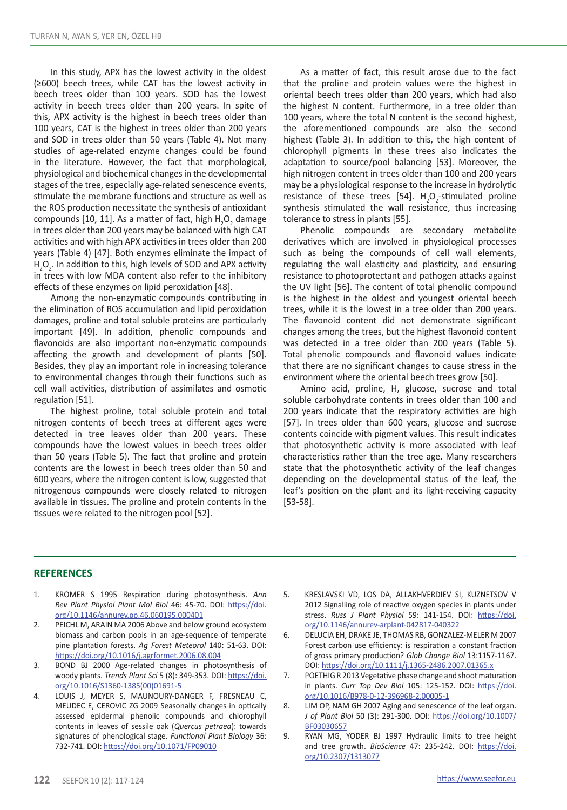In this study, APX has the lowest activity in the oldest (≥600) beech trees, while CAT has the lowest activity in beech trees older than 100 years. SOD has the lowest activity in beech trees older than 200 years. In spite of this, APX activity is the highest in beech trees older than 100 years, CAT is the highest in trees older than 200 years and SOD in trees older than 50 years (Table 4). Not many studies of age-related enzyme changes could be found in the literature. However, the fact that morphological, physiological and biochemical changes in the developmental stages of the tree, especially age-related senescence events, stimulate the membrane functions and structure as well as the ROS production necessitate the synthesis of antioxidant compounds [10, 11]. As a matter of fact, high  $H_2O_2$  damage in trees older than 200 years may be balanced with high CAT activities and with high APX activities in trees older than 200 years (Table 4) [47]. Both enzymes eliminate the impact of  $H_2O_2$ . In addition to this, high levels of SOD and APX activity in trees with low MDA content also refer to the inhibitory effects of these enzymes on lipid peroxidation [48].

Among the non-enzymatic compounds contributing in the elimination of ROS accumulation and lipid peroxidation damages, proline and total soluble proteins are particularly important [49]. In addition, phenolic compounds and flavonoids are also important non-enzymatic compounds affecting the growth and development of plants [50]. Besides, they play an important role in increasing tolerance to environmental changes through their functions such as cell wall activities, distribution of assimilates and osmotic regulation [51].

The highest proline, total soluble protein and total nitrogen contents of beech trees at different ages were detected in tree leaves older than 200 years. These compounds have the lowest values in beech trees older than 50 years (Table 5). The fact that proline and protein contents are the lowest in beech trees older than 50 and 600 years, where the nitrogen content is low, suggested that nitrogenous compounds were closely related to nitrogen available in tissues. The proline and protein contents in the tissues were related to the nitrogen pool [52].

As a matter of fact, this result arose due to the fact that the proline and protein values were the highest in oriental beech trees older than 200 years, which had also the highest N content. Furthermore, in a tree older than 100 years, where the total N content is the second highest, the aforementioned compounds are also the second highest (Table 3). In addition to this, the high content of chlorophyll pigments in these trees also indicates the adaptation to source/pool balancing [53]. Moreover, the high nitrogen content in trees older than 100 and 200 years may be a physiological response to the increase in hydrolytic resistance of these trees [54].  $H_2O_2$ -stimulated proline synthesis stimulated the wall resistance, thus increasing tolerance to stress in plants [55].

Phenolic compounds are secondary metabolite derivatives which are involved in physiological processes such as being the compounds of cell wall elements, regulating the wall elasticity and plasticity, and ensuring resistance to photoprotectant and pathogen attacks against the UV light [56]. The content of total phenolic compound is the highest in the oldest and youngest oriental beech trees, while it is the lowest in a tree older than 200 years. The flavonoid content did not demonstrate significant changes among the trees, but the highest flavonoid content was detected in a tree older than 200 years (Table 5). Total phenolic compounds and flavonoid values indicate that there are no significant changes to cause stress in the environment where the oriental beech trees grow [50].

Amino acid, proline, H, glucose, sucrose and total soluble carbohydrate contents in trees older than 100 and 200 years indicate that the respiratory activities are high [57]. In trees older than 600 years, glucose and sucrose contents coincide with pigment values. This result indicates that photosynthetic activity is more associated with leaf characteristics rather than the tree age. Many researchers state that the photosynthetic activity of the leaf changes depending on the developmental status of the leaf, the leaf's position on the plant and its light-receiving capacity [53-58].

# **REFERENCES**

- 1. KROMER S 1995 Respiration during photosynthesis. *Ann Rev Plant Physiol Plant Mol Biol* 46: 45-70. DOI: [https://doi.](https://doi.org/10.1146/annurev.pp.46.060195.000401) [org/10.1146/annurev.pp.46.060195.000401](https://doi.org/10.1146/annurev.pp.46.060195.000401)
- 2. PEICHL M, ARAIN MA 2006 Above and below ground ecosystem biomass and carbon pools in an age-sequence of temperate pine plantation forests. *Ag Forest Meteorol* 140: 51-63. DOI: <https://doi.org/10.1016/j.agrformet.2006.08.004>
- 3. BOND BJ 2000 Age-related changes in photosynthesis of woody plants. *Trends Plant Sci* 5 (8): 349-353. DOI: [https://doi.](https://doi.org/10.1016/S1360-1385(00)01691-5) [org/10.1016/S1360-1385\(00\)01691-5](https://doi.org/10.1016/S1360-1385(00)01691-5)
- 4. LOUIS J, MEYER S, MAUNOURY-DANGER F, FRESNEAU C, MEUDEC E, CEROVIC ZG 2009 Seasonally changes in optically assessed epidermal phenolic compounds and chlorophyll contents in leaves of sessile oak (*Quercus petraea*): towards signatures of phenological stage. *Functional Plant Biology* 36: 732-741. DOI: <https://doi.org/10.1071/FP09010>
- 5. KRESLAVSKI VD, LOS DA, ALLAKHVERDIEV SI, KUZNETSOV V 2012 Signalling role of reactive oxygen species in plants under stress. *Russ J Plant Physiol* 59: 141-154. DOI: [https://doi.](https://doi.org/10.1146/annurev-arplant-042817-040322) [org/10.1146/annurev-arplant-042817-040322](https://doi.org/10.1146/annurev-arplant-042817-040322)
- 6. DELUCIA EH, DRAKE JE, THOMAS RB, GONZALEZ-MELER M 2007 Forest carbon use efficiency: is respiration a constant fraction of gross primary production? *Glob Change Biol* 13:1157-1167. DOI:<https://doi.org/10.1111/j.1365-2486.2007.01365.x>
- 7. POETHIG R 2013 Vegetative phase change and shoot maturation in plants. *[Curr Top Dev Biol](https://www.ncbi.nlm.nih.gov/pubmed/23962841)* 105: 125-152. DOI: [https://doi.](https://doi.org/10.1016/B978-0-12-396968-2.00005-1) [org/10.1016/B978-0-12-396968-2.00005-1](https://doi.org/10.1016/B978-0-12-396968-2.00005-1)
- 8. LIM OP, NAM GH 2007 Aging and senescence of the leaf organ. *J of Plant Biol* 50 (3): 291-300. DOI: [https://doi.org/10.1007/](https://doi.org/10.1007/BF03030657) [BF03030657](https://doi.org/10.1007/BF03030657)
- 9. RYAN MG, YODER BJ 1997 Hydraulic limits to tree height and tree growth. *BioScience* 47: 235-242. DOI: [https://doi.](https://doi.org/10.2307/1313077) [org/10.2307/1313077](https://doi.org/10.2307/1313077)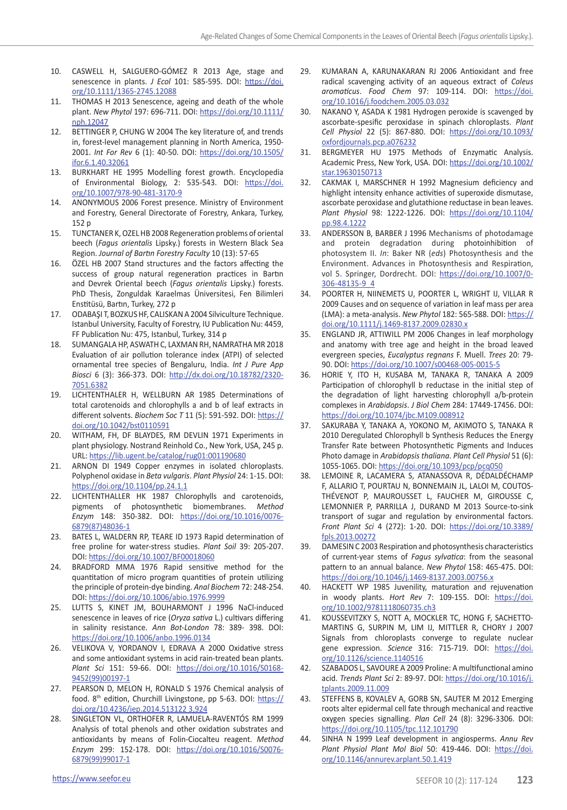- 10. CASWELL H, SALGUERO-GÓMEZ R 2013 Age, stage and senescence in plants. *J Ecol* 101: 585-595. DOI: [https://doi.](https://doi.org/10.1111/1365-2745.12088) [org/10.1111/1365-2745.12088](https://doi.org/10.1111/1365-2745.12088)
- 11. THOMAS H 2013 Senescence, ageing and death of the whole plant. *New Phytol* 197: 696-711. DOI: [https://doi.org/10.1111/](https://doi.org/10.1111/nph.12047) [nph.12047](https://doi.org/10.1111/nph.12047)
- 12. BETTINGER P, CHUNG W 2004 The key literature of, and trends in, forest-level management planning in North America, 1950- 2001. *Int For Rev* 6 (1): 40-50. DOI: [https://doi.org/10.1505/](https://doi.org/10.1505/ifor.6.1.40.32061) [ifor.6.1.40.32061](https://doi.org/10.1505/ifor.6.1.40.32061)
- 13. BURKHART HE 1995 Modelling forest growth. Encyclopedia of Environmental Biology, 2: 535-543. DOI: [https://doi.](https://doi.org/10.1007/978-90-481-3170-9) [org/10.1007/978-90-481-3170-9](https://doi.org/10.1007/978-90-481-3170-9)
- 14. ANONYMOUS 2006 Forest presence. Ministry of Environment and Forestry, General Directorate of Forestry, Ankara, Turkey, 152 p
- 15. TUNCTANER K, OZEL HB 2008 Regeneration problems of oriental beech (*Fagus orientalis* Lipsky.) forests in Western Black Sea Region. *Journal of Bartın Forestry Faculty* 10 (13): 57-65
- 16. ÖZEL HB 2007 Stand structures and the factors affecting the success of group natural regeneration practices in Bartın and Devrek Oriental beech (*Fagus orientalis* Lipsky.) forests. PhD Thesis, Zonguldak Karaelmas Üniversitesi, Fen Bilimleri Enstitüsü, Bartın, Turkey, 272 p
- 17. ODABAŞI T, BOZKUS HF, CALISKAN A 2004 Silviculture Technique. Istanbul University, Faculty of Forestry, IU Publication Nu: 4459, FF Publication Nu: 475, Istanbul, Turkey, 314 p
- 18. SUMANGALA HP, ASWATH C, LAXMAN RH, NAMRATHA MR 2018 Evaluation of air pollution tolerance index (ATPI) of selected ornamental tree species of Bengaluru, India. *Int J Pure App Biosci* 6 (3): 366-373. DOI: [http://dx.doi.org/10.18782/2320-](http://dx.doi.org/10.18782/2320-7051.6382) [7051.6382](http://dx.doi.org/10.18782/2320-7051.6382)
- 19. LICHTENTHALER H, WELLBURN AR 1985 Determinations of total carotenoids and chlorophylls a and b of leaf extracts in different solvents. *Biochem Soc T* 11 (5): 591-592. DOI: [https://](https://doi.org/10.1042/bst0110591) [doi.org/10.1042/bst0110591](https://doi.org/10.1042/bst0110591)
- 20. WITHAM, FH, DF BLAYDES, RM DEVLIN 1971 Experiments in plant physiology. Nostrand Reinhold Co., New York, USA, 245 p. URL:<https://lib.ugent.be/catalog/rug01:001190680>
- 21. ARNON DI 1949 Copper enzymes in isolated chloroplasts. Polyphenol oxidase in *Beta vulgaris*. *Plant Physiol* 24: 1-15. DOI: <https://doi.org/10.1104/pp.24.1.1>
- 22. LICHTENTHALLER HK 1987 Chlorophylls and carotenoids, pigments of photosynthetic biomembranes. *Method Enzym* 148: 350-382. DOI: [https://doi.org/10.1016/0076-](https://doi.org/10.1016/0076-6879(87)48036-1) [6879\(87\)48036-1](https://doi.org/10.1016/0076-6879(87)48036-1)
- 23. BATES L, WALDERN RP, TEARE ID 1973 Rapid determination of free proline for water-stress studies. *Plant Soil* 39: 205-207. DOI: <https://doi.org/10.1007/BF00018060>
- 24. BRADFORD MMA 1976 Rapid sensitive method for the quantitation of micro program quantities of protein utilizing the principle of protein-dye binding. *Anal Biochem* 72: 248-254. DOI: <https://doi.org/10.1006/abio.1976.9999>
- 25. LUTTS S, KINET JM, BOUHARMONT J 1996 NaCl-induced senescence in leaves of rice (*Oryza sativa* L.) cultivars differing in salinity resistance. *Ann Bot-London* 78: 389- 398. DOI: <https://doi.org/10.1006/anbo.1996.0134>
- 26. VELIKOVA V, YORDANOV I, EDRAVA A 2000 Oxidative stress and some antioxidant systems in acid rain-treated bean plants. *Plant Sci* 151: 59-66. DOI: [https://doi.org/10.1016/S0168-](https://doi.org/10.1016/S0168-9452(99)00197-1) [9452\(99\)00197-1](https://doi.org/10.1016/S0168-9452(99)00197-1)
- 27. PEARSON D, MELON H, RONALD S 1976 Chemical analysis of food. 8<sup>th</sup> edition, Churchill Livingstone, pp 5-63. DOI: [https://](https://doi.org/10.4236/jep.2014.513122 3,924) [doi.org/10.4236/jep.2014.513122 3,924](https://doi.org/10.4236/jep.2014.513122 3,924)
- 28. SINGLETON VL, ORTHOFER R, LAMUELA-RAVENTÓS RM 1999 Analysis of total phenols and other oxidation substrates and antioxidants by means of Folin-Ciocalteu reagent. *Method Enzym* 299: 152-178. DOI: [https://doi.org/10.1016/S0076-](https://doi.org/10.1016/S0076-6879(99)99017-1) [6879\(99\)99017-1](https://doi.org/10.1016/S0076-6879(99)99017-1)
- 29. KUMARAN A, KARUNAKARAN RJ 2006 Antioxidant and free radical scavenging activity of an aqueous extract of *Coleus aromaticus*. *Food Chem* 97: 109-114. DOI: [https://doi.](https://doi.org/10.1016/j.foodchem.2005.03.032) [org/10.1016/j.foodchem.2005.03.032](https://doi.org/10.1016/j.foodchem.2005.03.032)
- 30. NAKANO Y, ASADA K 1981 Hydrogen peroxide is scavenged by ascorbate-spesific peroxidase in spinach chloroplasts. *Plant Cell Physiol* 22 (5): 867-880. DOI: [https://doi.org/10.1093/](https://doi.org/10.1093/oxfordjournals.pcp.a076232) [oxfordjournals.pcp.a076232](https://doi.org/10.1093/oxfordjournals.pcp.a076232)
- 31. BERGMEYER HU 1975 Methods of Enzymatic Analysis. Academic Press, New York, USA. DOI: [https://doi.org/10.1002/](https://doi.org/10.1002/star.19630150713) [star.19630150713](https://doi.org/10.1002/star.19630150713)
- 32. CAKMAK I, MARSCHNER H 1992 Magnesium deficiency and highlight intensity enhance activities of superoxide dismutase, ascorbate peroxidase and glutathione reductase in bean leaves. *Plant Physiol* 98: 1222-1226. DOI: [https://doi.org/10.1104/](https://doi.org/10.1104/pp.98.4.1222) [pp.98.4.1222](https://doi.org/10.1104/pp.98.4.1222)
- 33. ANDERSSON B, BARBER J 1996 Mechanisms of photodamage and protein degradation during photoinhibition of photosystem II. *In*: Baker NR (*eds*) Photosynthesis and the Environment. Advances in Photosynthesis and Respiration, vol 5. Springer, Dordrecht. DOI: [https://doi.org/10.1007/0-](https://doi.org/10.1007/0-306-48135-9_4) [306-48135-9\\_4](https://doi.org/10.1007/0-306-48135-9_4)
- 34. POORTER H, NIINEMETS U, POORTER L, WRIGHT IJ, VILLAR R 2009 Causes and on sequence of variation in leaf mass per area (LMA): a meta-analysis. *New Phytol* 182: 565-588. DOI: [https://](https://doi.org/10.1111/j.1469-8137.2009.02830.x) [doi.org/10.1111/j.1469-8137.2009.02830.x](https://doi.org/10.1111/j.1469-8137.2009.02830.x)
- 35. ENGLAND JR, ATTIWILL PM 2006 Changes in leaf morphology and anatomy with tree age and height in the broad leaved evergreen species, *Eucalyptus regnans* F. Muell. *Trees* 20: 79- 90. DOI: <https://doi.org/10.1007/s00468-005-0015-5>
- 36. HORIE Y, ITO H, KUSABA M, TANAKA R, TANAKA A 2009 Participation of chlorophyll b reductase in the initial step of the degradation of light harvesting chlorophyll a/b-protein complexes in *Arabidopsis*. *J Biol Chem* 284: 17449-17456. DOI: <https://doi.org/10.1074/jbc.M109.008912>
- 37. SAKURABA Y, TANAKA A, YOKONO M, AKIMOTO S, TANAKA R 2010 Deregulated Chlorophyll b Synthesis Reduces the Energy Transfer Rate between Photosynthetic Pigments and Induces Photo damage in *Arabidopsis thaliana*. *Plant Cell Physiol* 51 (6): 1055-1065. DOI:<https://doi.org/10.1093/pcp/pcq050>
- 38. LEMOINE R, LACAMERA S, ATANASSOVA R, DÉDALDÉCHAMP F, ALLARIO T, POURTAU N, BONNEMAIN JL, LALOI M, COUTOS-THÉVENOT P, MAUROUSSET L, FAUCHER M, GIROUSSE C, LEMONNIER P, PARRILLA J, DURAND M 2013 Source-to-sink transport of sugar and regulation by environmental factors. *Front Plant Sci* 4 (272): 1-20. DOI: [https://doi.org/10.3389/](https://doi.org/10.3389/fpls.2013.00272) [fpls.2013.00272](https://doi.org/10.3389/fpls.2013.00272)
- 39. DAMESIN C 2003 Respiration and photosynthesis characteristics of current-year stems of *Fagus sylvatica*: from the seasonal pattern to an annual balance. *New Phytol* 158: 465-475. DOI: <https://doi.org/10.1046/j.1469-8137.2003.00756.x>
- 40. HACKETT WP 1985 Juvenility, maturation and rejuvenation in woody plants. *Hort Rev* 7: 109-155. DOI: [https://doi.](https://doi.org/10.1002/9781118060735.ch3) [org/10.1002/9781118060735.ch3](https://doi.org/10.1002/9781118060735.ch3)
- 41. KOUSSEVITZKY S, NOTT A, MOCKLER TC, HONG F, SACHETTO-MARTINS G, SURPIN M, LIM IJ, MITTLER R, CHORY J 2007 Signals from chloroplasts converge to regulate nuclear gene expression. *Science* 316: 715-719. DOI: [https://doi.](https://doi.org/10.1126/science.1140516) [org/10.1126/science.1140516](https://doi.org/10.1126/science.1140516)
- 42. SZABADOS L, SAVOURE A 2009 Proline: A multifunctional amino acid. *Trends Plant Sci* 2: 89-97. DOI: [https://doi.org/10.1016/j.](https://doi.org/10.1016/j.tplants.2009.11.009) [tplants.2009.11.009](https://doi.org/10.1016/j.tplants.2009.11.009)
- 43. [STEFFENS B](https://www.ncbi.nlm.nih.gov/pubmed/?term=Steffens B%5BAuthor%5D&cauthor=true&cauthor_uid=22904148), [KOVALEV A](https://www.ncbi.nlm.nih.gov/pubmed/?term=Kovalev A%5BAuthor%5D&cauthor=true&cauthor_uid=22904148), [GORB SN](https://www.ncbi.nlm.nih.gov/pubmed/?term=Gorb SN%5BAuthor%5D&cauthor=true&cauthor_uid=22904148), [SAUTER M](https://www.ncbi.nlm.nih.gov/pubmed/?term=Sauter M%5BAuthor%5D&cauthor=true&cauthor_uid=22904148) 2012 Emerging roots alter epidermal cell fate through mechanical and reactive oxygen species signalling. *[Plan Cell](https://www.ncbi.nlm.nih.gov/pubmed/22904148)* 24 (8): 3296-3306. DOI: <https://doi.org/10.1105/tpc.112.101790>
- 44. SINHA N 1999 Leaf development in angiosperms. *Annu Rev Plant Physiol Plant Mol Biol* 50: 419-446. DOI: [https://doi.](https://doi.org/10.1146/annurev.arplant.50.1.419) [org/10.1146/annurev.arplant.50.1.419](https://doi.org/10.1146/annurev.arplant.50.1.419)